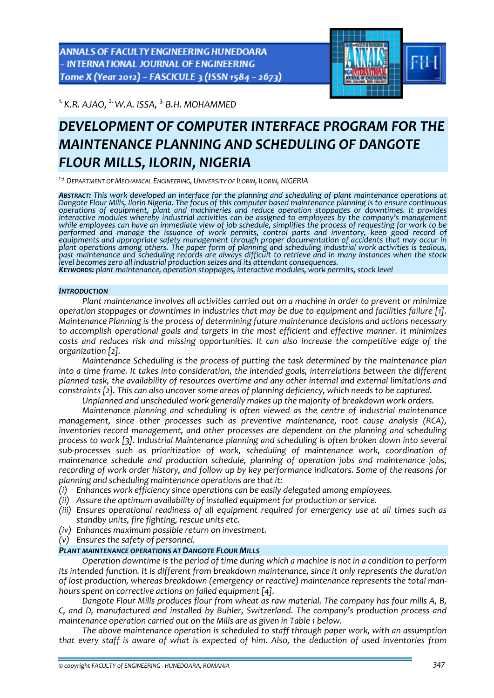ANNALS OF FACULTY ENGINEERING HUNEDOARA - INTERNATIONAL JOURNAL OF ENGINEERING Tome X (Year 2012) - FASCICULE 3 (ISSN 1584 - 2673)



*1.K.R. AJAO, 2.W.A. ISSA, 3. B.H. MOHAMMED* 

# *DEVELOPMENT OF COMPUTER INTERFACE PROGRAM FOR THE MAINTENANCE PLANNING AND SCHEDULING OF DANGOTE FLOUR MILLS, ILORIN, NIGERIA*

*<sup>1</sup>‐3.DEPARTMENT OF MECHANICAL ENGINEERING, UNIVERSITY OF ILORIN, ILORIN, NIGERIA*

*ABSTRACT: This work developed an interface for the planning and scheduling of plant maintenance operations at* Dangote Flour Mills, Ilorin Nigeria. The focus of this computer based maintenance planning is to ensure continuous *operations of equipment, plant and machineries and reduce operation stoppages or downtimes. It provides* interactive modules whereby industrial activities can be assigned to employees by the company's management<br>while employees can have an immediate view of job schedule, simplifies the process of requesting for work to be *performed and manage the issuance of work permits, control parts and inventory, keep good record of equipments and appropriate safety management through proper documentation of accidents that may occur in plant operations among others. The paper form of planning and scheduling industrial work activities is tedious,* past maintenance and scheduling records are always difficult to retrieve and in many instances when the stock level becomes zero all industrial production seizes and its attendant consequences.<br>KEYWORDS: plant maintenance, operation stoppages, interactive modules, work permits, stock level

## *INTRODUCTION*

*Plant maintenance involves all activities carried out on a machine in order to prevent or minimize operation stoppages or downtimes in industries that may be due to equipment and facilities failure [1]. Maintenance Planning is the process of determining future maintenance decisions and actions necessary to accomplish operational goals and targets in the most efficient and effective manner. It minimizes costs and reduces risk and missing opportunities. It can also increase the competitive edge of the organization [2].*

*Maintenance Scheduling is the process of putting the task determined by the maintenance plan into a time frame. It takes into consideration, the intended goals, interrelations between the different planned task, the availability of resources overtime and any other internal and external limitations and constraints [2]. This can also uncover some areas of planning deficiency, which needs to be captured.* 

*Unplanned and unscheduled work generally makes up the majority of breakdown work orders.*

*Maintenance planning and scheduling is often viewed as the centre of industrial maintenance management, since other processes such as preventive maintenance, root cause analysis (RCA), inventories record management, and other processes are dependent on the planning and scheduling process to work [3]. Industrial Maintenance planning and scheduling is often broken down into several sub‐processes such as prioritization of work, scheduling of maintenance work, coordination of maintenance schedule and production schedule, planning of operation jobs and maintenance jobs, recording of work order history, and follow up by key performance indicators. Some of the reasons for planning and scheduling maintenance operations are that it:*

- *(i) Enhances work efficiency since operations can be easily delegated among employees.*
- *(ii) Assure the optimum availability of installed equipment for production or service.*
- *(iii) Ensures operational readiness of all equipment required for emergency use at all times such as standby units, fire fighting, rescue units etc.*
- *(iv) Enhances maximum possible return on investment.*
- *(v) Ensures the safety of personnel.*

# *PLANT MAINTENANCE OPERATIONS AT DANGOTE FLOUR MILLS*

*Operation downtime is the period of time during which a machine is not in a condition to perform its intended function. It is different from breakdown maintenance, since it only represents the duration of lost production, whereas breakdown (emergency or reactive) maintenance represents the total man‐ hours spent on corrective actions on failed equipment [4].*

*Dangote Flour Mills produces flour from wheat as raw material. The company has four mills A, B, C, and D, manufactured and installed by Buhler, Switzerland. The company's production process and maintenance operation carried out on the Mills are as given in Table 1 below.*

*The above maintenance operation is scheduled to staff through paper work, with an assumption that every staff is aware of what is expected of him. Also, the deduction of used inventories from*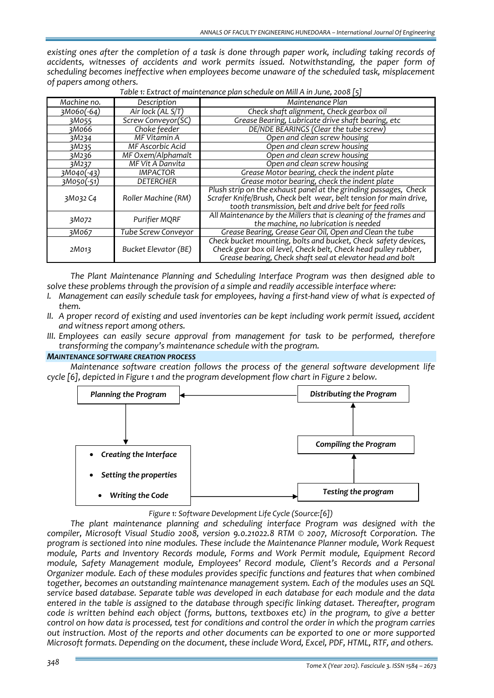*existing ones after the completion of a task is done through paper work, including taking records of accidents, witnesses of accidents and work permits issued. Notwithstanding, the paper form of scheduling becomes ineffective when employees become unaware of the scheduled task, misplacement of papers among others.*

| Machine no.                     | Description                                                                                                                 | Maintenance Plan                                                                                                                                                                                 |
|---------------------------------|-----------------------------------------------------------------------------------------------------------------------------|--------------------------------------------------------------------------------------------------------------------------------------------------------------------------------------------------|
| 3M060(-64)                      | Air lock (AL S/T)                                                                                                           | Check shaft alignment, Check gearbox oil                                                                                                                                                         |
| 3M055                           | Screw Conveyor(SC)                                                                                                          | Grease Bearing, Lubricate drive shaft bearing, etc                                                                                                                                               |
| зМо66                           | Choke feeder                                                                                                                | DE/NDE BEARINGS (Clear the tube screw)                                                                                                                                                           |
| 3M234                           | MF Vitamin A                                                                                                                | Open and clean screw housing                                                                                                                                                                     |
| 3M235                           | MF Ascorbic Acid                                                                                                            | Open and clean screw housing                                                                                                                                                                     |
| 3M236                           | MF Oxem/Alphamalt                                                                                                           | Open and clean screw housing                                                                                                                                                                     |
| 3M237                           | MF Vit A Danvita                                                                                                            | Open and clean screw housing                                                                                                                                                                     |
| 3M040(-43)                      | <b>IMPACTOR</b>                                                                                                             | Grease Motor bearing, check the indent plate                                                                                                                                                     |
| 3M050(-51)                      | <b>DETERCHER</b>                                                                                                            | Grease motor bearing, check the indent plate                                                                                                                                                     |
| Roller Machine (RM)<br>3M032 C4 |                                                                                                                             | Plush strip on the exhaust panel at the grinding passages, Check<br>Scrafer Knife/Brush, Check belt wear, belt tension for main drive,<br>tooth transmission, belt and drive belt for feed rolls |
| 3M072                           | All Maintenance by the Millers that is cleaning of the frames and<br>Purifier MQRF<br>the machine, no lubrication is needed |                                                                                                                                                                                                  |
| 3M067                           | Tube Screw Conveyor                                                                                                         | Grease Bearing, Grease Gear Oil, Open and Clean the tube                                                                                                                                         |
| 2M013                           | Bucket Elevator (BE)                                                                                                        | Check bucket mounting, bolts and bucket, Check safety devices,<br>Check gear box oil level, Check belt, Check head pulley rubber,<br>Grease bearing, Check shaft seal at elevator head and bolt  |

*Table 1: Extract of maintenance plan schedule on Mill A in June, 2008 [5]*

*The Plant Maintenance Planning and Scheduling Interface Program was then designed able to solve these problems through the provision of a simple and readily accessible interface where:*

- I. Management can easily schedule task for employees, having a first-hand view of what is expected of *them.*
- *II. A proper record of existing and used inventories can be kept including work permit issued, accident and witness report among others.*
- *III. Employees can easily secure approval from management for task to be performed, therefore transforming the company's maintenance schedule with the program.*

## *MAINTENANCE SOFTWARE CREATION PROCESS*

*Maintenance software creation follows the process of the general software development life cycle [6], depicted in Figure 1 and the program development flow chart in Figure 2 below.*



# *Figure 1: Software Development Life Cycle (Source:[6])*

*The plant maintenance planning and scheduling interface Program was designed with the compiler, Microsoft Visual Studio 2008, version 9.0.21022.8 RTM © 2007, Microsoft Corporation. The program is sectioned into nine modules. These include the Maintenance Planner module, Work Request module, Parts and Inventory Records module, Forms and Work Permit module, Equipment Record module, Safety Management module, Employees' Record module, Client's Records and a Personal Organizer module. Each of these modules provides specific functions and features that when combined together, becomes an outstanding maintenance management system. Each of the modules uses an SQL service based database. Separate table was developed in each database for each module and the data entered in the table is assigned to the database through specific linking dataset. Thereafter, program code is written behind each object (forms, buttons, textboxes etc) in the program, to give a better* control on how data is processed, test for conditions and control the order in which the program carries *out instruction. Most of the reports and other documents can be exported to one or more supported Microsoft formats. Depending on the document, these include Word, Excel, PDF, HTML, RTF, and others.*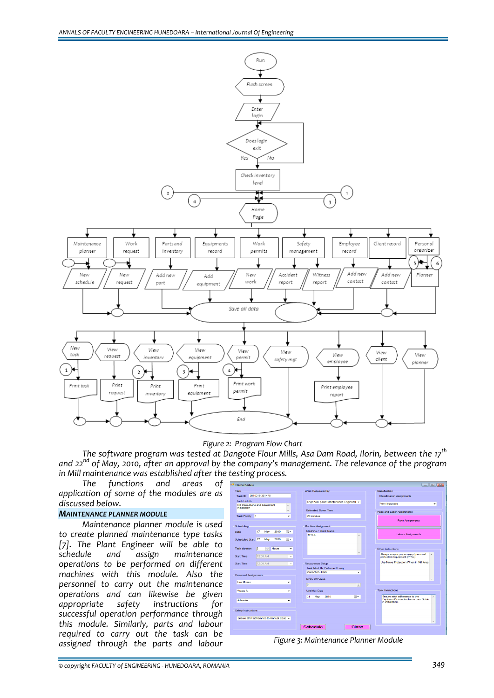

## *Figure 2: Program Flow Chart*

*The software program was tested at Dangote Flour Mills, Asa Dam Road, Ilorin, between the 17th and 22nd of May, 2010, after an approval by the company's management. The relevance of the program in Mill maintenance was established after the testing process.* 

*The functions and areas of application of some of the modules are as discussed below.*

## *MAINTENANCE PLANNER MODULE*

*Maintenance planner module is used to create planned maintenance type tasks [7]. The Plant Engineer will be able to schedule and assign maintenance operations to be performed on different machines with this module. Also the personnel to carry out the maintenance operations and can likewise be given appropriate safety instructions for successful operation performance through this module. Similarly, parts and labour required to carry out the task can be assigned through the parts and labour Figure 3: Maintenance Planner Module*

| Task                                          |             |                          | <b>Work Requested By</b>                 |     | Classification                                                         |                     |  |  |
|-----------------------------------------------|-------------|--------------------------|------------------------------------------|-----|------------------------------------------------------------------------|---------------------|--|--|
| 2010315-381478<br>Task ID                     |             |                          |                                          |     | Classification Assignments                                             |                     |  |  |
| <b>Task Details</b>                           |             |                          | Engr.Koki (Chief Maintenance Engineer) + |     |                                                                        |                     |  |  |
| Mil Inspections and Equipment<br>Installation |             | $\overline{a}$           |                                          |     |                                                                        | Very Important<br>۰ |  |  |
|                                               |             | $\overline{\phantom{a}}$ | <b>Estimated Down Time</b>               |     | Page and Labor Assignments                                             |                     |  |  |
| <b>Task Priority</b><br>n                     |             | ٠                        | 20 minutes                               |     |                                                                        |                     |  |  |
|                                               |             |                          |                                          |     | Parts Assignments                                                      |                     |  |  |
| Scheduling                                    |             |                          | <b>Machine Assignment</b>                |     |                                                                        |                     |  |  |
| 17<br>Date                                    | 2010<br>May | ⊪                        | Machine / Client Name<br><b>MYFA</b>     |     | <b>Labour Assignments</b>                                              |                     |  |  |
| Scheduled Start 17                            | 2010<br>May | 田一                       |                                          | ×.  |                                                                        |                     |  |  |
|                                               |             |                          |                                          |     |                                                                        |                     |  |  |
| Task duration<br>$\overline{2}$               | Hours<br>수  | ٠                        |                                          |     | Other Instructions                                                     |                     |  |  |
|                                               |             |                          |                                          | ÷   | Always ensure proper use of personal                                   | $\lambda$           |  |  |
| Start Time                                    | 12:00 AM    |                          |                                          |     | protection Equipment (PPEs).                                           |                     |  |  |
| Start Time                                    | 12:00 AM    | $\overline{\phantom{a}}$ | Reccurence Setup                         |     | Use Noise Protection When in Mill Area                                 |                     |  |  |
|                                               |             |                          | Task Must Be Performed Every:            |     |                                                                        |                     |  |  |
| Personnel Assignments                         |             |                          | inspection -Daily                        | ٠   |                                                                        |                     |  |  |
|                                               |             |                          | Every XX Value                           |     |                                                                        |                     |  |  |
| <b>Eze Moses</b>                              |             | ۰                        | lo                                       | H   |                                                                        |                     |  |  |
| Washi A                                       |             | ٠                        | Until this Date                          |     | Task Instructions                                                      |                     |  |  |
|                                               |             |                          |                                          |     |                                                                        |                     |  |  |
| Adewale                                       |             | ٠                        | 31<br>May 2010                           | mv. | Ensure strict adherance to the<br>Equipment's manufacturers user Guide |                     |  |  |
|                                               |             |                          |                                          |     | in installation.                                                       |                     |  |  |
|                                               |             |                          |                                          |     |                                                                        |                     |  |  |
| Safety Instructions                           |             |                          |                                          |     |                                                                        |                     |  |  |
| Ensure strict adherance to manual Equit +     |             |                          |                                          |     |                                                                        |                     |  |  |
|                                               |             |                          |                                          |     |                                                                        |                     |  |  |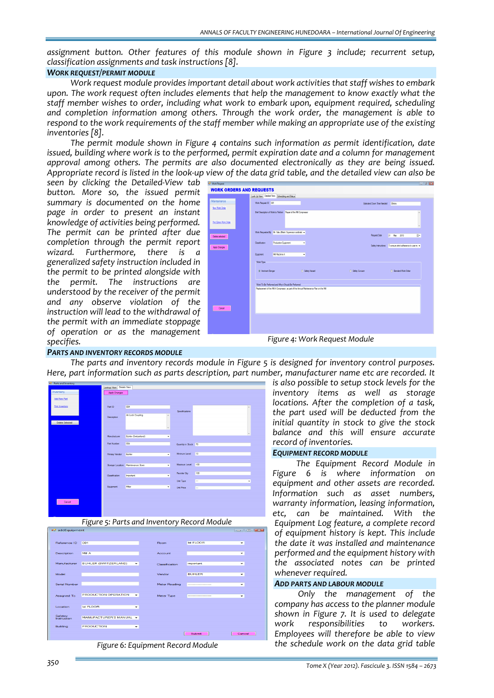*assignment button. Other features of this module shown in Figure 3 include; recurrent setup, classification assignments and task instructions [8].*

## *WORK REQUEST/PERMIT MODULE*

*Work request module provides important detail about work activities that staff wishes to embark upon. The work request often includes elements that help the management to know exactly what the staff member wishes to order, including what work to embark upon, equipment required, scheduling and completion information among others. Through the work order, the management is able to respond to the work requirements of the staff member while making an appropriate use of the existing inventories [8].*

*The permit module shown in Figure 4 contains such information as permit identification, date issued, building where work is to the performed, permit expiration date and a column for management approval among others. The permits are also documented electronically as they are being issued.* Appropriate record is listed in the look-up view of the data grid table, and the detailed view can also be

*seen by clicking the Detailed‐View tab button. More so, the issued permit summary is documented on the home page in order to present an instant knowledge of activities being performed. The permit can be printed after due completion through the permit report wizard.* Furthermore, *generalized safety instruction included in the permit to be printed alongside with the permit. The instructions are understood by the receiver of the permit and any observe violation of the instruction will lead to the withdrawal of the permit with an immediate stoppage of operation or as the management specifies.*

| <b>C</b> Work Request           |                                                                                        |                                                          | $-8$                      |
|---------------------------------|----------------------------------------------------------------------------------------|----------------------------------------------------------|---------------------------|
| <b>WORK ORDERS AND REQUESTS</b> |                                                                                        |                                                          |                           |
|                                 | Look Up View Detailed View Scheduling and Status                                       |                                                          |                           |
| Maintainance                    | Work Request ID 001                                                                    | Estimated Down Time Needed<br>30mm                       |                           |
| New Work Order                  |                                                                                        |                                                          |                           |
|                                 | Brief Description of Work to Perform Repair of the Mil Compressor                      |                                                          | ×                         |
|                                 |                                                                                        |                                                          |                           |
| <b>Print Entire Work Order</b>  |                                                                                        |                                                          | $\boldsymbol{\mathrm{v}}$ |
|                                 |                                                                                        |                                                          |                           |
| Delete selected                 | Work Requested By Mr. Salu (Maint, Supervisor cordinate -                              | Request Date<br>31.<br>May<br>2010                       | m,                        |
|                                 | <b>Production Equipment</b><br>Classification<br>٠                                     |                                                          |                           |
| <b>Apply Changes</b>            |                                                                                        | Safety Instructions To ensure strict adherance to user m |                           |
|                                 | Mil Machine A                                                                          |                                                          |                           |
|                                 | Equipment<br>٠                                                                         |                                                          |                           |
|                                 | Work Type                                                                              |                                                          |                           |
|                                 | @ Imminent Danger<br>Safety Hazard                                                     | Safety Concern<br>C Standard Work Order                  |                           |
|                                 |                                                                                        |                                                          |                           |
|                                 |                                                                                        |                                                          |                           |
|                                 | Work To Be Performed and Why t Should Be Performed                                     |                                                          |                           |
|                                 | Replacement of the MII A Compressor, as part of the Annual Maintenance Plan on the MII |                                                          |                           |
|                                 |                                                                                        |                                                          |                           |
|                                 |                                                                                        |                                                          |                           |
| Cancel                          |                                                                                        |                                                          |                           |
|                                 |                                                                                        |                                                          |                           |
|                                 |                                                                                        |                                                          |                           |
|                                 |                                                                                        |                                                          |                           |
|                                 |                                                                                        |                                                          |                           |
|                                 |                                                                                        |                                                          |                           |
|                                 | Figure 4: Work Request Module                                                          |                                                          |                           |

#### *PARTS AND INVENTORY RECORDS MODULE*

*The parts and inventory records module in Figure 5 is designed for inventory control purposes. Here, part information such as parts description, part number, manufacturer name etc are recorded. It*





| Reference ID           | 001                                              | Room           | lat FLOOR                | ۰      |
|------------------------|--------------------------------------------------|----------------|--------------------------|--------|
|                        |                                                  |                |                          |        |
| Description            | Mill A                                           | Account        |                          | ÷      |
|                        |                                                  |                |                          |        |
| Manufacturer           | <b>BUHLER (SWITZERLAND)</b><br>۰                 | Classification | important                | ۰      |
|                        |                                                  |                |                          |        |
| Model                  |                                                  | Vendor         | <b>BUHLER</b>            | ۰      |
|                        |                                                  |                |                          |        |
| Serial Number          |                                                  | Meter Reading  | ------------------------ | ۰      |
|                        |                                                  |                |                          |        |
| Assigned To            | PRODUCTION OPERATION<br>$\overline{\phantom{a}}$ | Meter Type     | ----------------------   | ⇁      |
|                        |                                                  |                |                          |        |
| Location               | lst FLOOR<br>۰                                   |                |                          |        |
|                        |                                                  |                |                          |        |
| Safetev<br>Instruction | MANUFACTURER'S MANUAL -                          |                |                          |        |
|                        |                                                  |                |                          |        |
| Building               | <b>PRODUCTION</b><br>۰                           |                |                          |        |
|                        |                                                  |                | Submit                   | Cancel |
|                        |                                                  |                |                          |        |
|                        |                                                  |                |                          |        |

*Figure 6: Equipment Record Module*

*is also possible to setup stock levels for the inventory items as well as storage locations. After the completion of a task, the part used will be deducted from the initial quantity in stock to give the stock balance and this will ensure accurate record of inventories.*

#### *EQUIPMENT RECORD MODULE*

*The Equipment Record Module in Figure 6 is where information on equipment and other assets are recorded. Information such as asset numbers, warranty information, leasing information, etc, can be maintained. With the Equipment Log feature, a complete record of equipment history is kept. This include the date it was installed and maintenance performed and the equipment history with the associated notes can be printed whenever required.*

#### *ADD PARTS AND LABOUR MODULE*

*Only the management of the company has access to the planner module shown in Figure 7. It is used to delegate work responsibilities to workers. Employees will therefore be able to view the schedule work on the data grid table*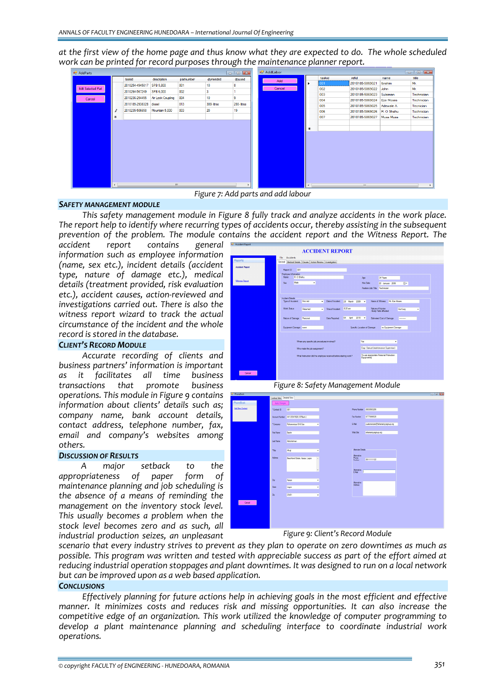at the first view of the home page and thus know what they are expected to do. The whole scheduled *work can be printed for record purposes through the maintenance planner report.*



 *Figure 7: Add parts and add labour*

## *SAFETY MANAGEMENT MODULE*

*This safety management module in Figure 8 fully track and analyze accidents in the work place. The report help to identify where recurring types of accidents occur, thereby assisting in the subsequent prevention of the problem. The module contains the accident report and the Witness Report. The*

*accident report contains general information such as employee information (name, sex etc.), incident details (accident type, nature of damage etc.), medical details (treatment provided, risk evaluation etc.), accident causes, action‐reviewed and investigations carried out. There is also the witness report wizard to track the actual circumstance of the incident and the whole record is stored in the database.*

## *CLIENT'S RECORD MODULE*

*Accurate recording of clients and business partners' information is important as it facilitates all time business transactions that promote business operations. This module in Figure 9 contains information about clients' details such as; company name, bank account details, contact address, telephone number, fax, email and company's websites among others.* 

#### *DISCUSSION OF RESULTS*

*A major setback to the appropriateness of paper form of maintenance planning and job scheduling is the absence of a means of reminding the management on the inventory stock level. This usually becomes a problem when the stock level becomes zero and as such, all industrial production seizes, an unpleasant*

|                        |                                                                  | <b>ACCIDENT REPORT</b>                                     |                  |                 |                                           |                                           |                |   |
|------------------------|------------------------------------------------------------------|------------------------------------------------------------|------------------|-----------------|-------------------------------------------|-------------------------------------------|----------------|---|
| Reports                | Accidents<br>File                                                | General Medical Details Causes Action-Review Investigation |                  |                 |                                           |                                           |                |   |
| <b>Accident Report</b> | 001<br>Report ID<br>Employee Information                         |                                                            |                  |                 |                                           |                                           |                |   |
| Witness Report         | R O Shehu<br>Name<br>Male                                        | ٠                                                          |                  |                 | Age                                       | 34 Years                                  |                |   |
|                        | Sex                                                              |                                                            |                  |                 | Hre Date<br>Position/Job Title Technician | 28 January 2006                           | m-             |   |
|                        | Incident Details                                                 |                                                            |                  |                 |                                           |                                           |                |   |
|                        | Type of Accident                                                 | First Aid<br>٠                                             | Date of Incident | 28 March 2009 - |                                           | Mr. Ena Monas<br>Name of Witness          |                |   |
|                        | Work Status                                                      | Returned<br>٠                                              | Time of Incident | 8:20 am         |                                           | Nature of Injuries<br>/Body Pats affected | <b>Hut Leg</b> | ٠ |
|                        | Nature of Damage                                                 | Personal                                                   | Date Reported    | 04<br>April     | 2010<br>$\check{}$                        | Estimated Cost of Damage                  | -------        |   |
|                        | Equipment Damage Inche                                           |                                                            |                  |                 | Specific Location of Damage               | no Equipment Damage                       |                |   |
|                        |                                                                  | Where any specific job procedures involved?                |                  |                 | Yes                                       | ٠                                         |                |   |
|                        |                                                                  | Who made the job assignment?                               |                  |                 |                                           | Engr. Samuel (maintenance Supervisor)     |                |   |
|                        | What instruction did the employee received before starting work? |                                                            |                  |                 | Equipments                                | To use appropriate Personal Protection    |                |   |
|                        |                                                                  |                                                            |                  |                 |                                           |                                           |                |   |
| Cancel                 |                                                                  |                                                            |                  |                 |                                           |                                           |                |   |

*Figure 8: Safety Management Module*

| PhoneBook        |                           |                                      |                     |                              |                                   | $= 0$ |
|------------------|---------------------------|--------------------------------------|---------------------|------------------------------|-----------------------------------|-------|
|                  | Lookup View Detalled View |                                      |                     |                              |                                   |       |
| <b>PhoneBook</b> | Apply Changes             |                                      |                     |                              |                                   |       |
| Add New Contact  | *Contact ID               | 001                                  |                     |                              |                                   |       |
|                  |                           | Account Number 441-33341528 (GTBenk) |                     | Fax Number                   | 07775666520                       |       |
|                  | *Company                  | Rahamaniyya Oli & Gas                | ٠                   | EMail                        | customercare@tahamaniyyagroup.org |       |
|                  | <b>First Name</b>         | Bashir                               |                     | Web Ste                      | shananiyyagroup.org               |       |
|                  | <b>Last Name</b>          | <b>Rodulrahman</b>                   |                     |                              |                                   |       |
|                  | "Title                    | <b>Nhaj</b>                          | ۰                   | <b>Atemate Details</b>       |                                   |       |
|                  | <b>Address</b>            | Beachland Estate, Apape, Lagos       | $\sim$              | Rhemative<br>Phone<br>Number | 08111111122                       |       |
|                  |                           |                                      | $\bar{\phantom{a}}$ | Atemative  <br>E-Mail        |                                   |       |
|                  | Cty                       | Apapa                                | ٠                   | Rtemative                    |                                   |       |
|                  | Sate                      | Lagos                                | $\!\star$           | Address                      |                                   |       |
|                  | 2 <sub>0</sub>            | 23401                                | ٠                   |                              |                                   |       |
| Cancel           |                           |                                      |                     |                              |                                   |       |
|                  |                           |                                      |                     |                              |                                   |       |
|                  |                           |                                      |                     |                              |                                   |       |
|                  |                           |                                      |                     |                              |                                   |       |

*Figure 9: Client's Record Module*

scenario that every industry strives to prevent as they plan to operate on zero downtimes as much as *possible. This program was written and tested with appreciable success as part of the effort aimed at reducing industrial operation stoppages and plant downtimes. It was designed to run on a local network but can be improved upon as a web based application.*

#### *CONCLUSIONS*

*Effectively planning for future actions help in achieving goals in the most efficient and effective manner. It minimizes costs and reduces risk and missing opportunities. It can also increase the competitive edge of an organization. This work utilized the knowledge of computer programming to develop a plant maintenance planning and scheduling interface to coordinate industrial work operations.*